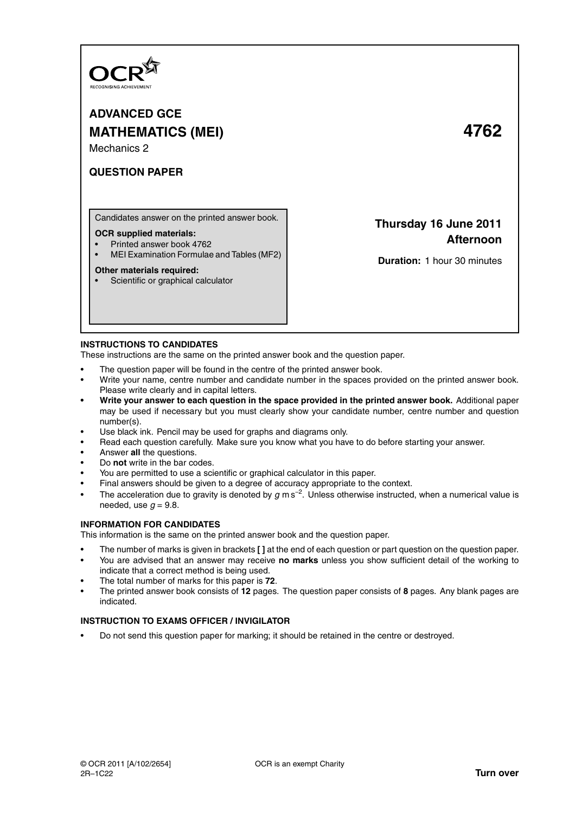

**ADVANCED GCE MATHEMATICS (MEI) 4762**

Mechanics 2

## **QUESTION PAPER**

Candidates answer on the printed answer book.

#### **OCR supplied materials:**

- Printed answer book 4762
- MEI Examination Formulae and Tables (MF2)

#### **Other materials required:**

Scientific or graphical calculator

**Thursday 16 June 2011 Afternoon**

**Duration:** 1 hour 30 minutes

## **INSTRUCTIONS TO CANDIDATES**

These instructions are the same on the printed answer book and the question paper.

- The question paper will be found in the centre of the printed answer book.
- Write your name, centre number and candidate number in the spaces provided on the printed answer book. Please write clearly and in capital letters.
- **Write your answer to each question in the space provided in the printed answer book.** Additional paper may be used if necessary but you must clearly show your candidate number, centre number and question number(s).
- Use black ink. Pencil may be used for graphs and diagrams only.
- Read each question carefully. Make sure you know what you have to do before starting your answer.
- Answer **all** the questions.
- Do **not** write in the bar codes.
- You are permitted to use a scientific or graphical calculator in this paper.
- Final answers should be given to a degree of accuracy appropriate to the context.
- The acceleration due to gravity is denoted by  $g$  m s<sup>−2</sup>. Unless otherwise instructed, when a numerical value is needed, use  $q = 9.8$ .

## **INFORMATION FOR CANDIDATES**

This information is the same on the printed answer book and the question paper.

- The number of marks is given in brackets **[ ]** at the end of each question or part question on the question paper.
- You are advised that an answer may receive **no marks** unless you show sufficient detail of the working to indicate that a correct method is being used.
- The total number of marks for this paper is **72**.
- The printed answer book consists of **12** pages. The question paper consists of **8** pages. Any blank pages are indicated.

## **INSTRUCTION TO EXAMS OFFICER / INVIGILATOR**

• Do not send this question paper for marking; it should be retained in the centre or destroyed.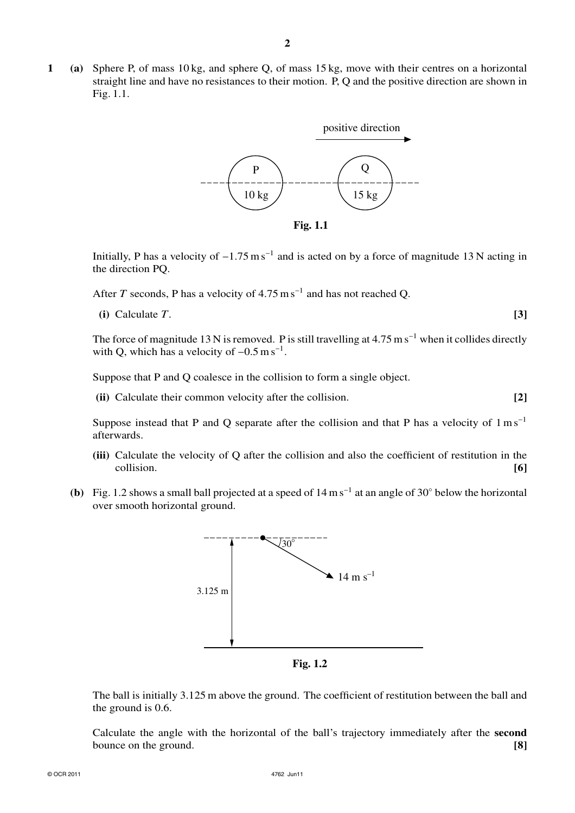**2**



Initially, P has a velocity of  $-1.75 \text{ m s}^{-1}$  and is acted on by a force of magnitude 13 N acting in the direction PQ.

After *T* seconds, P has a velocity of  $4.75 \text{ m s}^{-1}$  and has not reached Q.

**(i)** Calculate *T*. **[3]**

The force of magnitude 13 N is removed. P is still travelling at  $4.75 \text{ m s}^{-1}$  when it collides directly with Q, which has a velocity of  $-0.5 \text{ m s}^{-1}$ .

Suppose that P and Q coalesce in the collision to form a single object.

**(ii)** Calculate their common velocity after the collision. **[2]**

Suppose instead that P and O separate after the collision and that P has a velocity of  $1 \text{ m s}^{-1}$ afterwards.

- **(iii)** Calculate the velocity of Q after the collision and also the coefficient of restitution in the collision. **[6]**
- **(b)** Fig. 1.2 shows a small ball projected at a speed of  $14 \text{ m s}^{-1}$  at an angle of 30 $\degree$  below the horizontal over smooth horizontal ground.



**Fig. 1.2**

The ball is initially 3.125 m above the ground. The coefficient of restitution between the ball and the ground is 0.6.

Calculate the angle with the horizontal of the ball's trajectory immediately after the **second** bounce on the ground. **[8]**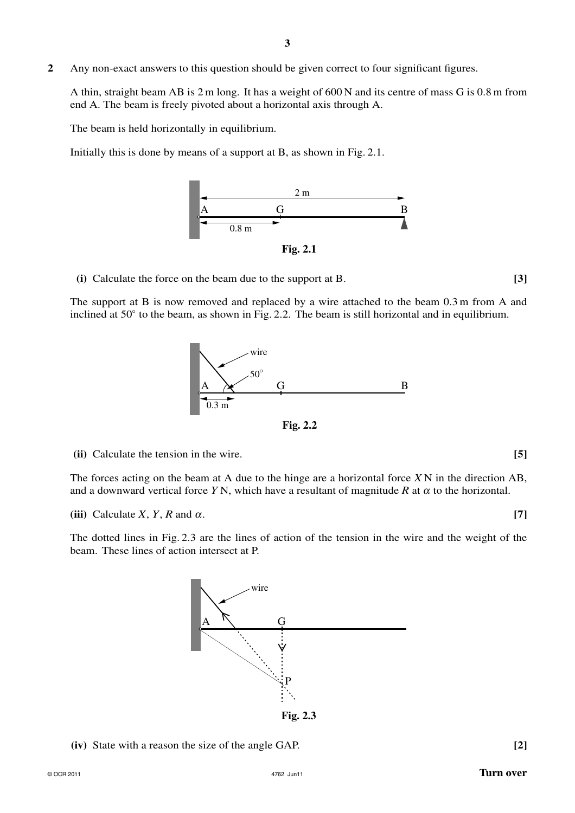**2** Any non-exact answers to this question should be given correct to four significant figures.

A thin, straight beam AB is 2 m long. It has a weight of 600 N and its centre of mass G is 0.8 m from end A. The beam is freely pivoted about a horizontal axis through A.

The beam is held horizontally in equilibrium.

Initially this is done by means of a support at B, as shown in Fig. 2.1.



**(i)** Calculate the force on the beam due to the support at B. **[3]**

The support at B is now removed and replaced by a wire attached to the beam 0.3 m from A and inclined at 50° to the beam, as shown in Fig. 2.2. The beam is still horizontal and in equilibrium.



**Fig. 2.2**

**(ii)** Calculate the tension in the wire. **[5]**

The forces acting on the beam at A due to the hinge are a horizontal force *X* N in the direction AB, and a downward vertical force *Y* N, which have a resultant of magnitude *R* at  $\alpha$  to the horizontal.

**(iii)** Calculate *X*, *Y*, *R* and  $\alpha$ . **[7]** 

The dotted lines in Fig. 2.3 are the lines of action of the tension in the wire and the weight of the beam. These lines of action intersect at P.



**(iv)** State with a reason the size of the angle GAP. **[2]**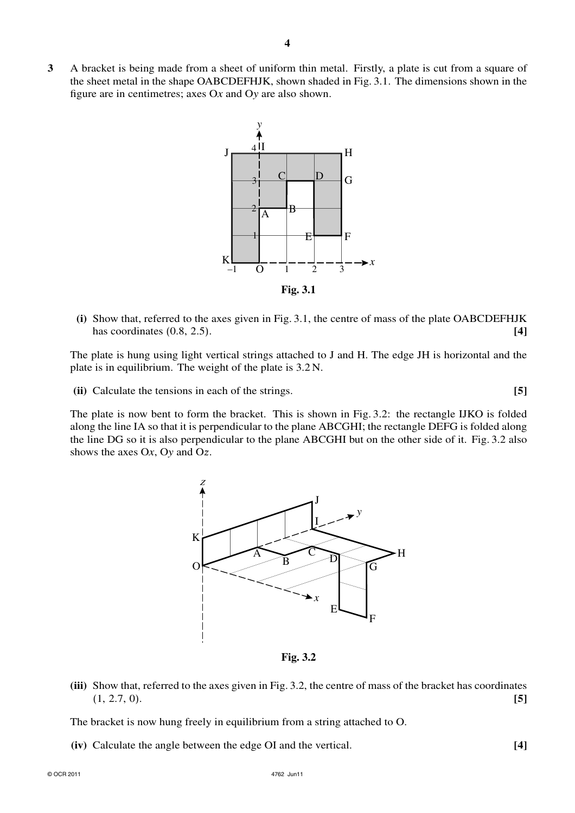**3** A bracket is being made from a sheet of uniform thin metal. Firstly, a plate is cut from a square of the sheet metal in the shape OABCDEFHJK, shown shaded in Fig. 3.1. The dimensions shown in the figure are in centimetres; axes O*x* and O*y* are also shown.



**(i)** Show that, referred to the axes given in Fig. 3.1, the centre of mass of the plate OABCDEFHJK has coordinates (0.8, 2.5). **[4]**

The plate is hung using light vertical strings attached to J and H. The edge JH is horizontal and the plate is in equilibrium. The weight of the plate is 3.2 N.

**(ii)** Calculate the tensions in each of the strings. **[5]**

The plate is now bent to form the bracket. This is shown in Fig. 3.2: the rectangle IJKO is folded along the line IA so that it is perpendicular to the plane ABCGHI; the rectangle DEFG is folded along the line DG so it is also perpendicular to the plane ABCGHI but on the other side of it. Fig. 3.2 also shows the axes Ox, Oy and Oz.



**Fig. 3.2**

**(iii)** Show that, referred to the axes given in Fig. 3.2, the centre of mass of the bracket has coordinates (1, 2.7, 0). **[5]**

The bracket is now hung freely in equilibrium from a string attached to O.

**(iv)** Calculate the angle between the edge OI and the vertical. **[4]**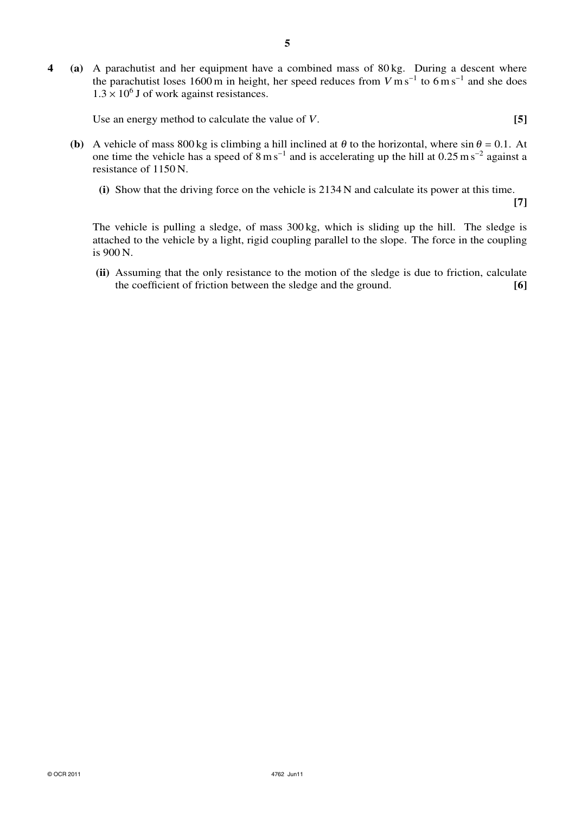**4 (a)** A parachutist and her equipment have a combined mass of 80 kg. During a descent where the parachutist loses 1600 m in height, her speed reduces from *V* m s<sup>−1</sup> to 6 m s<sup>−1</sup> and she does  $1.3 \times 10^6$  J of work against resistances.

Use an energy method to calculate the value of *V*. **[5]**

- **(b)** A vehicle of mass 800 kg is climbing a hill inclined at  $\theta$  to the horizontal, where sin  $\theta = 0.1$ . At one time the vehicle has a speed of  $8 \text{ m s}^{-1}$  and is accelerating up the hill at 0.25 m s<sup>-2</sup> against a resistance of 1150 N.
	- **(i)** Show that the driving force on the vehicle is 2134 N and calculate its power at this time.

**[7]**

The vehicle is pulling a sledge, of mass 300 kg, which is sliding up the hill. The sledge is attached to the vehicle by a light, rigid coupling parallel to the slope. The force in the coupling is 900 N.

**(ii)** Assuming that the only resistance to the motion of the sledge is due to friction, calculate the coefficient of friction between the sledge and the ground. **[6]**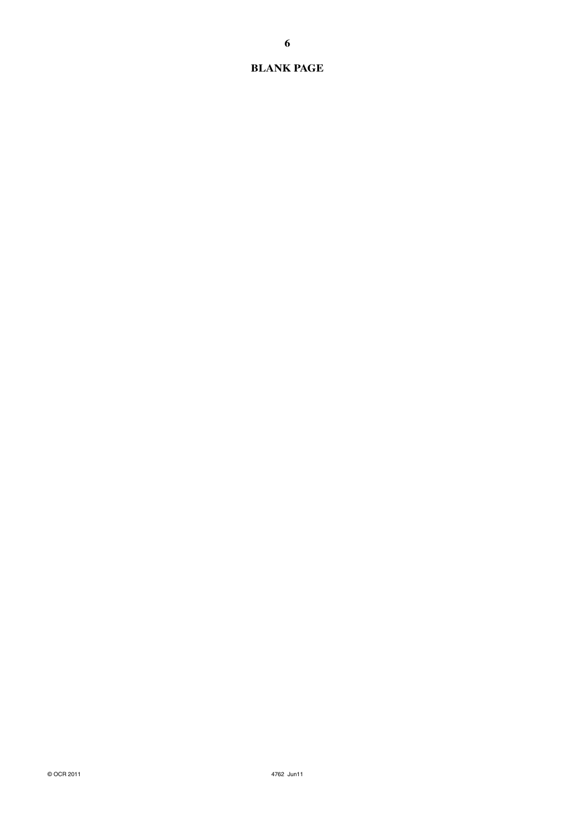# **BLANK PAGE**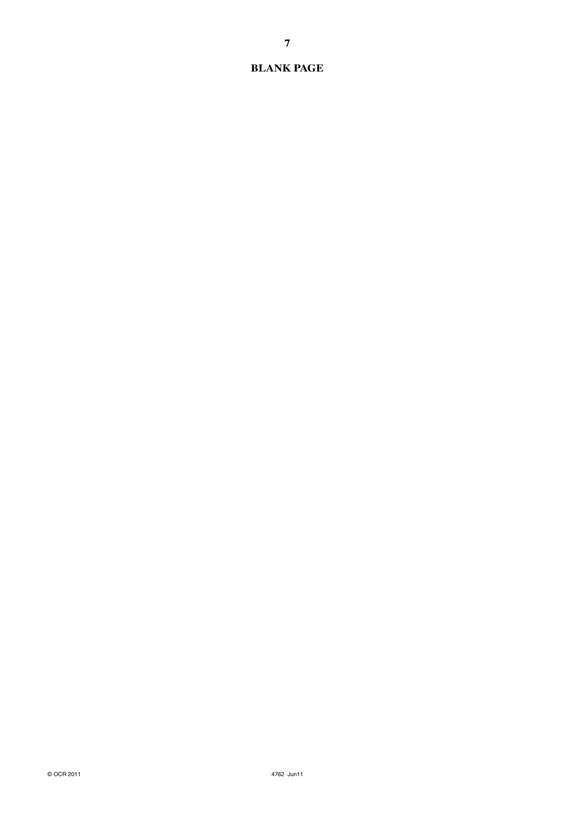# **BLANK PAGE**